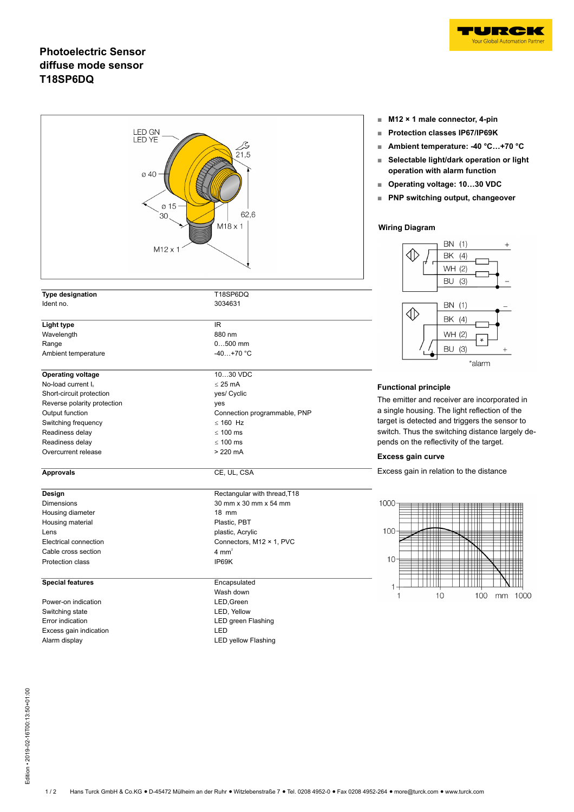

## **Photoelectric Sensor diffuse mode sensor T18SP6DQ**

| <b>LED GN</b><br>LED YE<br>$\overline{2}$ 1,5<br>ø 40<br>ø 15<br>62,6<br>30<br>$M18 \times 1$<br>$M12 \times 1$ |                              |  |  |
|-----------------------------------------------------------------------------------------------------------------|------------------------------|--|--|
| <b>Type designation</b><br>Ident no.                                                                            | T18SP6DQ<br>3034631          |  |  |
|                                                                                                                 |                              |  |  |
| Light type                                                                                                      | IR.                          |  |  |
| Wavelength                                                                                                      | 880 nm                       |  |  |
| Range                                                                                                           | $0500$ mm                    |  |  |
| Ambient temperature                                                                                             | $-40+70 °C$                  |  |  |
| <b>Operating voltage</b>                                                                                        | 1030 VDC                     |  |  |
| No-load current I <sub>0</sub>                                                                                  | $\leq$ 25 mA                 |  |  |
| Short-circuit protection                                                                                        | yes/ Cyclic                  |  |  |
| Reverse polarity protection                                                                                     | yes                          |  |  |
| Output function                                                                                                 | Connection programmable, PNP |  |  |
| Switching frequency                                                                                             | $\leq$ 160 Hz                |  |  |
| Readiness delay                                                                                                 | $\leq 100$ ms                |  |  |
| Readiness delay                                                                                                 | $\leq 100$ ms                |  |  |
| Overcurrent release                                                                                             | $>220$ mA                    |  |  |
| <b>Approvals</b>                                                                                                | CE, UL, CSA                  |  |  |
| Design                                                                                                          | Rectangular with thread, T18 |  |  |
| <b>Dimensions</b>                                                                                               | 30 mm x 30 mm x 54 mm        |  |  |
| Housing diameter                                                                                                | 18 mm                        |  |  |
| Housing material                                                                                                | Plastic, PBT                 |  |  |
| Lens                                                                                                            | plastic, Acrylic             |  |  |
| Electrical connection                                                                                           | Connectors, M12 × 1, PVC     |  |  |
| Cable cross section                                                                                             | 4 mm <sup>2</sup>            |  |  |
| Protection class                                                                                                | IP69K                        |  |  |
| <b>Special features</b>                                                                                         | Encapsulated                 |  |  |
|                                                                                                                 | Wash down                    |  |  |
| Power-on indication                                                                                             | LED, Green                   |  |  |
| Switching state                                                                                                 | LED, Yellow                  |  |  |
| Error indication                                                                                                | LED green Flashing           |  |  |
| Excess gain indication                                                                                          | LED                          |  |  |
| Alarm display                                                                                                   | <b>LED yellow Flashing</b>   |  |  |

- **■ M12 × 1 male connector, 4-pin**
- **■ Protection classes IP67/IP69K**
- **■ Ambient temperature: -40 °C…+70 °C**
- **■ Selectable light/dark operation or light operation with alarm function**
- **■ Operating voltage: 10…30 VDC**
- **■ PNP switching output, changeover**

### **Wiring Diagram**



### **Functional principle**

The emitter and receiver are incorporated in a single housing. The light reflection of the target is detected and triggers the sensor to switch. Thus the switching distance largely depends on the reflectivity of the target.

#### **Excess gain curve**

Excess gain in relation to the distance